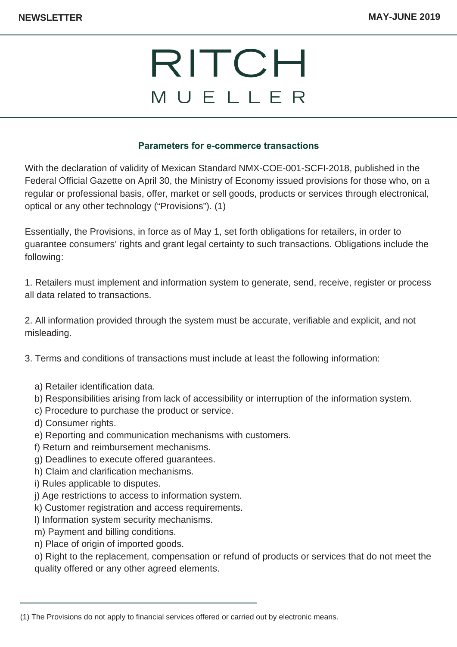## RITCH MUELLER

## **Parameters for e-commerce transactions**

With the declaration of validity of Mexican Standard NMX-COE-001-SCFI-2018, published in the Federal Official Gazette on April 30, the Ministry of Economy issued provisions for those who, on a regular or professional basis, offer, market or sell goods, products or services through electronical, optical or any other technology ("Provisions"). (1)

Essentially, the Provisions, in force as of May 1, set forth obligations for retailers, in order to guarantee consumers' rights and grant legal certainty to such transactions. Obligations include the following:

1. Retailers must implement and information system to generate, send, receive, register or process all data related to transactions.

2. All information provided through the system must be accurate, verifiable and explicit, and not misleading.

3. Terms and conditions of transactions must include at least the following information:

- a) Retailer identification data.
- b) Responsibilities arising from lack of accessibility or interruption of the information system.
- c) Procedure to purchase the product or service.
- d) Consumer rights.
- e) Reporting and communication mechanisms with customers.
- f) Return and reimbursement mechanisms.
- g) Deadlines to execute offered guarantees.
- h) Claim and clarification mechanisms.
- i) Rules applicable to disputes.
- j) Age restrictions to access to information system.
- k) Customer registration and access requirements.
- l) Information system security mechanisms.
- m) Payment and billing conditions.
- n) Place of origin of imported goods.

o) Right to the replacement, compensation or refund of products or services that do not meet the quality offered or any other agreed elements.

<sup>(1)</sup> The Provisions do not apply to financial services offered or carried out by electronic means.